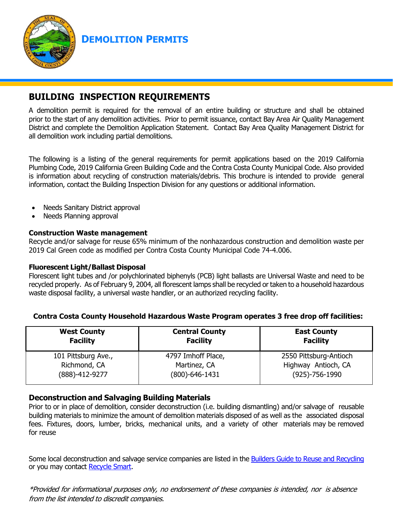

**DEMOLITION PERMITS**

# **BUILDING INSPECTION REQUIREMENTS**

A demolition permit is required for the removal of an entire building or structure and shall be obtained prior to the start of any demolition activities. Prior to permit issuance, contact Bay Area Air Quality Management District and complete the Demolition Application Statement. Contact Bay Area Quality Management District for all demolition work including partial demolitions.

The following is a listing of the general requirements for permit applications based on the 2019 California Plumbing Code, 2019 California Green Building Code and the Contra Costa County Municipal Code. Also provided is information about recycling of construction materials/debris. This brochure is intended to provide general information, contact the Building Inspection Division for any questions or additional information.

- Needs Sanitary District approval
- Needs Planning approval

#### **Construction Waste management**

Recycle and/or salvage for reuse 65% minimum of the nonhazardous construction and demolition waste per 2019 Cal Green code as modified per Contra Costa County Municipal Code 74-4.006.

#### **Fluorescent Light/Ballast Disposal**

Florescent light tubes and /or polychlorinated biphenyls (PCB) light ballasts are Universal Waste and need to be recycled properly. As of February 9, 2004, all florescent lamps shall be recycled or taken to a household hazardous waste disposal facility, a universal waste handler, or an authorized recycling facility.

#### **Contra Costa County Household Hazardous Waste Program operates 3 free drop off facilities:**

| <b>West County</b>  | <b>Central County</b> | <b>East County</b>     |
|---------------------|-----------------------|------------------------|
| <b>Facility</b>     | <b>Facility</b>       | <b>Facility</b>        |
| 101 Pittsburg Ave., | 4797 Imhoff Place,    | 2550 Pittsburg-Antioch |
| Richmond, CA        | Martinez, CA          | Highway Antioch, CA    |
| (888)-412-9277      | (800)-646-1431        | $(925) - 756 - 1990$   |

### **Deconstruction and Salvaging Building Materials**

Prior to or in place of demolition, consider deconstruction (i.e. building dismantling) and/or salvage of reusable building materials to minimize the amount of demolition materials disposed of as well as the associated disposal fees. Fixtures, doors, lumber, bricks, mechanical units, and a variety of other materials may be removed for reuse

Some local deconstruction and salvage service companies are listed in the [Builders Guide to Reuse and Recycling](http://www.cccounty.us/depart/cd/recycle/c-n-d/builders_2005-screen.pdf) or you may contact [Recycle Smart.](http://www.recyclesmart.org/)

\*Provided for informational purposes only, no endorsement of these companies is intended, nor is absence from the list intended to discredit companies.